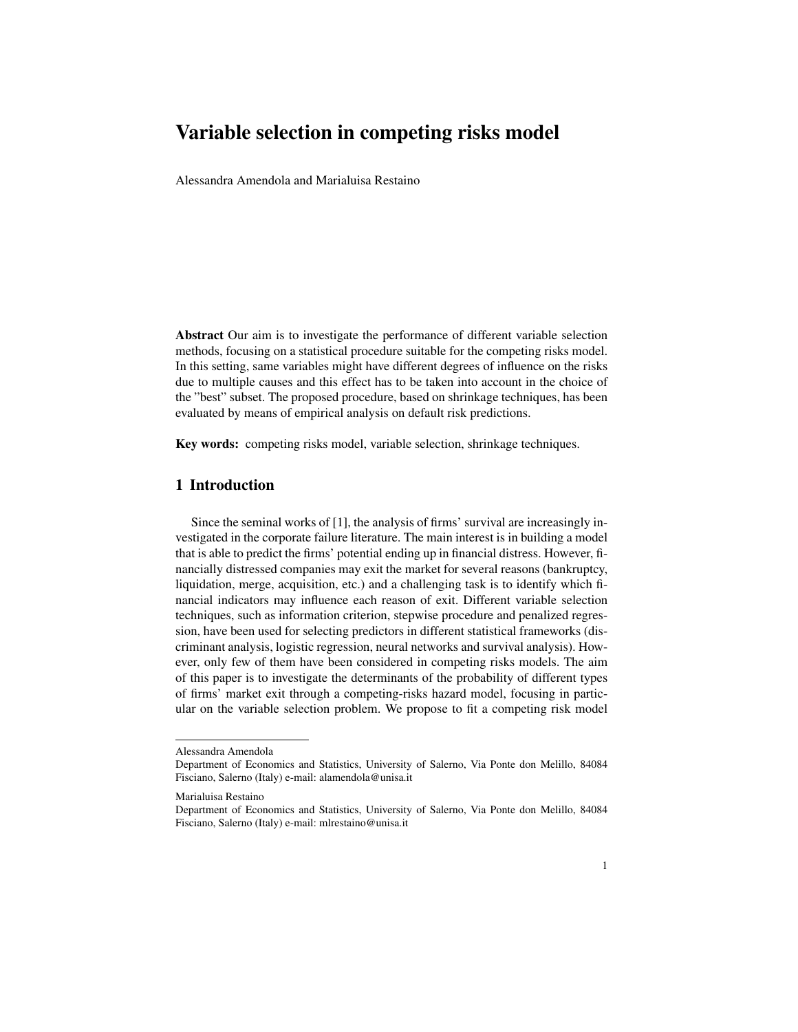# Variable selection in competing risks model

Alessandra Amendola and Marialuisa Restaino

Abstract Our aim is to investigate the performance of different variable selection methods, focusing on a statistical procedure suitable for the competing risks model. In this setting, same variables might have different degrees of influence on the risks due to multiple causes and this effect has to be taken into account in the choice of the "best" subset. The proposed procedure, based on shrinkage techniques, has been evaluated by means of empirical analysis on default risk predictions.

Key words: competing risks model, variable selection, shrinkage techniques.

## 1 Introduction

Since the seminal works of [1], the analysis of firms' survival are increasingly investigated in the corporate failure literature. The main interest is in building a model that is able to predict the firms' potential ending up in financial distress. However, financially distressed companies may exit the market for several reasons (bankruptcy, liquidation, merge, acquisition, etc.) and a challenging task is to identify which financial indicators may influence each reason of exit. Different variable selection techniques, such as information criterion, stepwise procedure and penalized regression, have been used for selecting predictors in different statistical frameworks (discriminant analysis, logistic regression, neural networks and survival analysis). However, only few of them have been considered in competing risks models. The aim of this paper is to investigate the determinants of the probability of different types of firms' market exit through a competing-risks hazard model, focusing in particular on the variable selection problem. We propose to fit a competing risk model

Alessandra Amendola

Department of Economics and Statistics, University of Salerno, Via Ponte don Melillo, 84084 Fisciano, Salerno (Italy) e-mail: alamendola@unisa.it

Marialuisa Restaino

Department of Economics and Statistics, University of Salerno, Via Ponte don Melillo, 84084 Fisciano, Salerno (Italy) e-mail: mlrestaino@unisa.it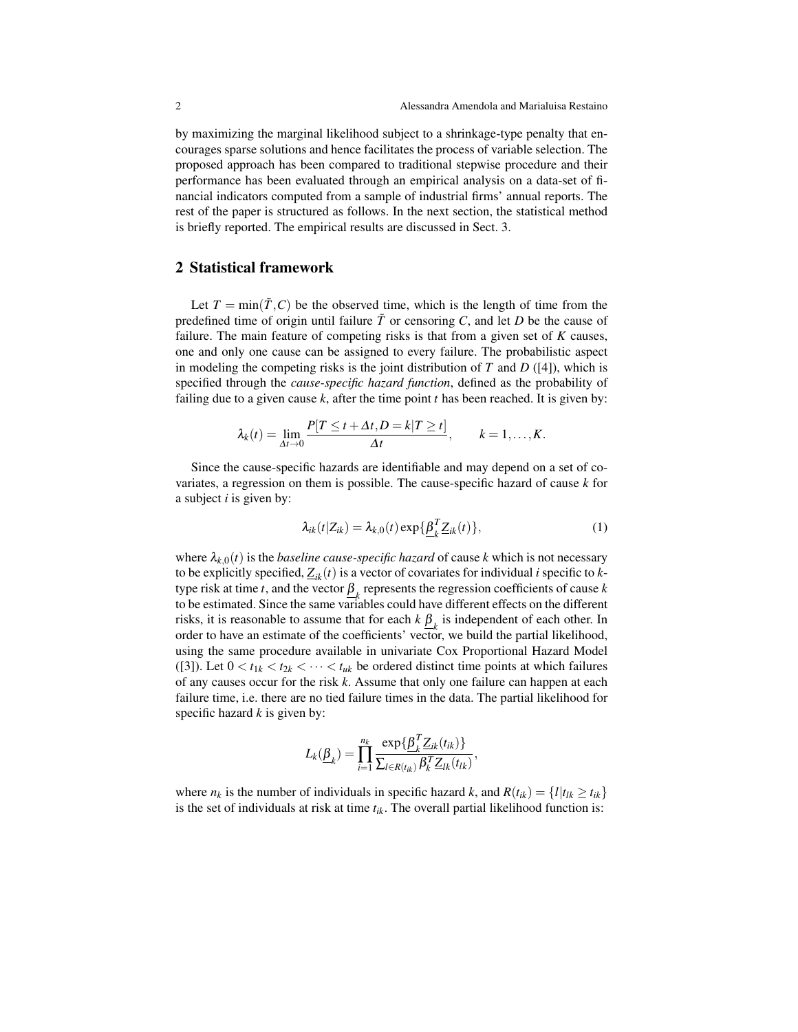by maximizing the marginal likelihood subject to a shrinkage-type penalty that encourages sparse solutions and hence facilitates the process of variable selection. The proposed approach has been compared to traditional stepwise procedure and their performance has been evaluated through an empirical analysis on a data-set of financial indicators computed from a sample of industrial firms' annual reports. The rest of the paper is structured as follows. In the next section, the statistical method is briefly reported. The empirical results are discussed in Sect. 3.

### 2 Statistical framework

Let  $T = min(\tilde{T}, C)$  be the observed time, which is the length of time from the predefined time of origin until failure  $\tilde{T}$  or censoring  $C$ , and let  $D$  be the cause of failure. The main feature of competing risks is that from a given set of *K* causes, one and only one cause can be assigned to every failure. The probabilistic aspect in modeling the competing risks is the joint distribution of  $T$  and  $D$  ([4]), which is specified through the *cause-specific hazard function*, defined as the probability of failing due to a given cause *k*, after the time point *t* has been reached. It is given by:

$$
\lambda_k(t) = \lim_{\Delta t \to 0} \frac{P[T \le t + \Delta t, D = k | T \ge t]}{\Delta t}, \qquad k = 1, \dots, K.
$$

Since the cause-specific hazards are identifiable and may depend on a set of covariates, a regression on them is possible. The cause-specific hazard of cause *k* for a subject *i* is given by:

$$
\lambda_{ik}(t|Z_{ik}) = \lambda_{k,0}(t) \exp{\{\underline{\beta}_k^T Z_{ik}(t)\}},
$$
\n(1)

where  $\lambda_{k,0}(t)$  is the *baseline cause-specific hazard* of cause *k* which is not necessary to be explicitly specified,  $Z_{ik}(t)$  is a vector of covariates for individual *i* specific to *k*type risk at time *t*, and the vector  $\underline{\beta}_k$  represents the regression coefficients of cause *k* to be estimated. Since the same variables could have different effects on the different risks, it is reasonable to assume that for each  $k \underline{\beta}_k$  is independent of each other. In order to have an estimate of the coefficients' vector, we build the partial likelihood, using the same procedure available in univariate Cox Proportional Hazard Model ([3]). Let  $0 < t_{1k} < t_{2k} < \cdots < t_{uk}$  be ordered distinct time points at which failures of any causes occur for the risk *k*. Assume that only one failure can happen at each failure time, i.e. there are no tied failure times in the data. The partial likelihood for specific hazard *k* is given by:

$$
L_k(\underline{\beta}_k) = \prod_{i=1}^{n_k} \frac{\exp\{\underline{\beta}_k^T \underline{Z}_{ik}(t_{ik})\}}{\sum_{l \in R(t_{ik})} \beta_k^T \underline{Z}_{lk}(t_{lk})},
$$

where  $n_k$  is the number of individuals in specific hazard *k*, and  $R(t_{ik}) = \{l | t_{lk} \ge t_{ik}\}\$ is the set of individuals at risk at time *tik*. The overall partial likelihood function is: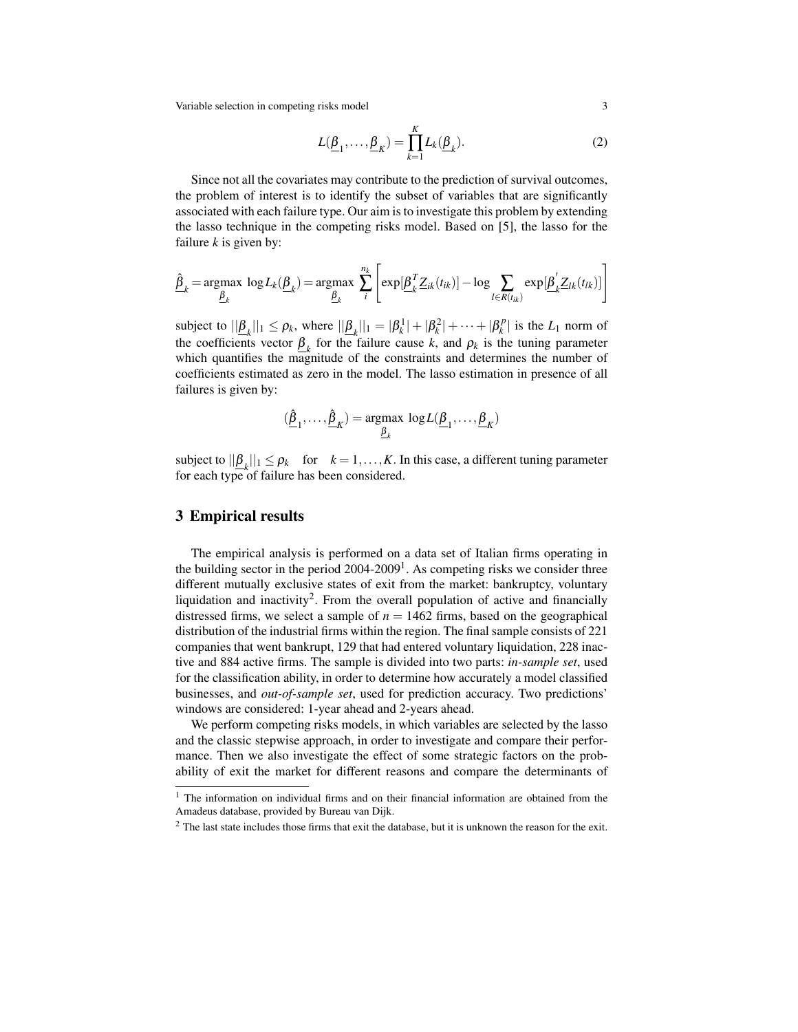Variable selection in competing risks model 3

$$
L(\underline{\beta}_1, \dots, \underline{\beta}_K) = \prod_{k=1}^K L_k(\underline{\beta}_k). \tag{2}
$$

Since not all the covariates may contribute to the prediction of survival outcomes, the problem of interest is to identify the subset of variables that are significantly associated with each failure type. Our aim is to investigate this problem by extending the lasso technique in the competing risks model. Based on [5], the lasso for the failure *k* is given by:

$$
\hat{\underline{\beta}}_k = \underset{\underline{\beta}_k}{\text{argmax}} \log L_k(\underline{\beta}_k) = \underset{\underline{\beta}_k}{\text{argmax}} \sum_{i}^{n_k} \left[ \exp[\underline{\beta}_k^T \underline{Z}_{ik}(t_{ik})] - \log \sum_{l \in R(t_{ik})} \exp[\underline{\beta}_k^{\prime} \underline{Z}_{lk}(t_{lk})] \right]
$$

subject to  $||\underline{\beta}_k||_1 \le \rho_k$ , where  $||\underline{\beta}_k||_1 = |\beta_k^1| + |\beta_k^2| + \cdots + |\beta_k^p|$  $|k|$ <sup>p</sup> is the  $L_1$  norm of the coefficients vector  $\underline{\beta}_k$  for the failure cause *k*, and  $\rho_k$  is the tuning parameter which quantifies the magnitude of the constraints and determines the number of coefficients estimated as zero in the model. The lasso estimation in presence of all failures is given by:

$$
(\hat{\underline{\beta}}_1,\ldots,\hat{\underline{\beta}}_K) = \underset{\underline{\beta}_k}{\text{argmax}} \log L(\underline{\beta}_1,\ldots,\underline{\beta}_K)
$$

subject to  $||\underline{\beta}_k||_1 \leq \rho_k$  for  $k = 1, ..., K$ . In this case, a different tuning parameter for each type of failure has been considered.

## 3 Empirical results

The empirical analysis is performed on a data set of Italian firms operating in the building sector in the period  $2004-2009<sup>1</sup>$ . As competing risks we consider three different mutually exclusive states of exit from the market: bankruptcy, voluntary liquidation and inactivity<sup>2</sup>. From the overall population of active and financially distressed firms, we select a sample of  $n = 1462$  firms, based on the geographical distribution of the industrial firms within the region. The final sample consists of 221 companies that went bankrupt, 129 that had entered voluntary liquidation, 228 inactive and 884 active firms. The sample is divided into two parts: *in-sample set*, used for the classification ability, in order to determine how accurately a model classified businesses, and *out-of-sample set*, used for prediction accuracy. Two predictions' windows are considered: 1-year ahead and 2-years ahead.

We perform competing risks models, in which variables are selected by the lasso and the classic stepwise approach, in order to investigate and compare their performance. Then we also investigate the effect of some strategic factors on the probability of exit the market for different reasons and compare the determinants of

<sup>&</sup>lt;sup>1</sup> The information on individual firms and on their financial information are obtained from the Amadeus database, provided by Bureau van Dijk.

<sup>&</sup>lt;sup>2</sup> The last state includes those firms that exit the database, but it is unknown the reason for the exit.